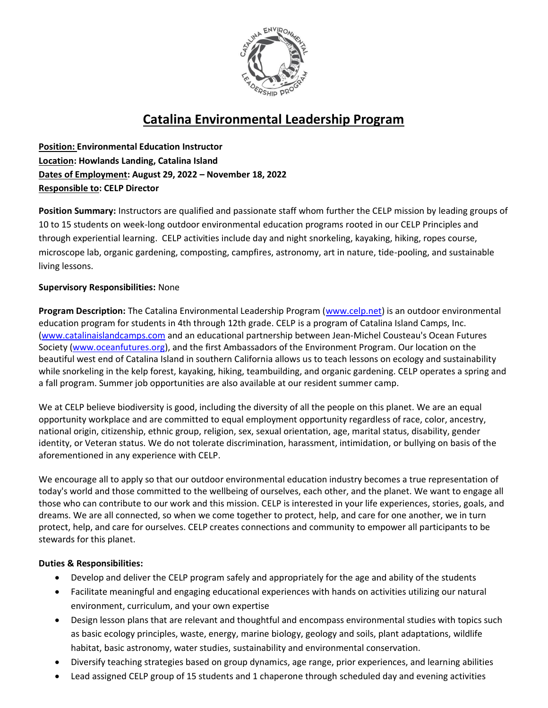

# **Catalina Environmental Leadership Program**

**Position: Environmental Education Instructor Location: Howlands Landing, Catalina Island Dates of Employment: August 29, 2022 – November 18, 2022 Responsible to: CELP Director**

**Position Summary:** Instructors are qualified and passionate staff whom further the CELP mission by leading groups of 10 to 15 students on week-long outdoor environmental education programs rooted in our CELP Principles and through experiential learning. CELP activities include day and night snorkeling, kayaking, hiking, ropes course, microscope lab, organic gardening, composting, campfires, astronomy, art in nature, tide-pooling, and sustainable living lessons.

# **Supervisory Responsibilities:** None

**Program Description:** The Catalina Environmental Leadership Program [\(www.celp.net\)](http://www.celp.net/) is an outdoor environmental education program for students in 4th through 12th grade. CELP is a program of Catalina Island Camps, Inc. [\(www.catalinaislandcamps.com](http://www.catalinaislandcamps.com/) and an educational partnership between Jean-Michel Cousteau's Ocean Futures Society [\(www.oceanfutures.org\)](http://www.oceanfutures.org/), and the first Ambassadors of the Environment Program. Our location on the beautiful west end of Catalina Island in southern California allows us to teach lessons on ecology and sustainability while snorkeling in the kelp forest, kayaking, hiking, teambuilding, and organic gardening. CELP operates a spring and a fall program. Summer job opportunities are also available at our resident summer camp.

We at CELP believe biodiversity is good, including the diversity of all the people on this planet. We are an equal opportunity workplace and are committed to equal employment opportunity regardless of race, color, ancestry, national origin, citizenship, ethnic group, religion, sex, sexual orientation, age, marital status, disability, gender identity, or Veteran status. We do not tolerate discrimination, harassment, intimidation, or bullying on basis of the aforementioned in any experience with CELP.

We encourage all to apply so that our outdoor environmental education industry becomes a true representation of today's world and those committed to the wellbeing of ourselves, each other, and the planet. We want to engage all those who can contribute to our work and this mission. CELP is interested in your life experiences, stories, goals, and dreams. We are all connected, so when we come together to protect, help, and care for one another, we in turn protect, help, and care for ourselves. CELP creates connections and community to empower all participants to be stewards for this planet.

# **Duties & Responsibilities:**

- Develop and deliver the CELP program safely and appropriately for the age and ability of the students
- Facilitate meaningful and engaging educational experiences with hands on activities utilizing our natural environment, curriculum, and your own expertise
- Design lesson plans that are relevant and thoughtful and encompass environmental studies with topics such as basic ecology principles, waste, energy, marine biology, geology and soils, plant adaptations, wildlife habitat, basic astronomy, water studies, sustainability and environmental conservation.
- Diversify teaching strategies based on group dynamics, age range, prior experiences, and learning abilities
- Lead assigned CELP group of 15 students and 1 chaperone through scheduled day and evening activities